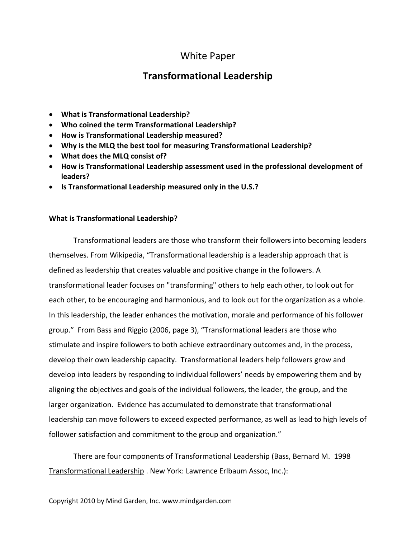# White Paper

# **Transformational Leadership**

- **What is Transformational Leadership?**
- **Who coined the term Transformational Leadership?**
- **How is Transformational Leadership measured?**
- **Why is the MLQ the best tool for measuring Transformational Leadership?**
- **What does the MLQ consist of?**
- **How is Transformational Leadership assessment used in the professional development of leaders?**
- **Is Transformational Leadership measured only in the U.S.?**

# **What is Transformational Leadership?**

Transformational leaders are those who transform their followers into becoming leaders themselves. From Wikipedia, "Transformational leadership is a [leadership](http://en.wikipedia.org/wiki/Leadership) approach that is defined as leadership that creates valuable and positive change in the followers. A transformational leader focuses on "transforming" others to help each other, to look out for each other, to be encouraging and harmonious, and to look out for the organization as a whole. In this leadership, the leader enhances the motivation, morale and performance of his follower group." From Bass and Riggio (2006, page 3), "Transformational leaders are those who stimulate and inspire followers to both achieve extraordinary outcomes and, in the process, develop their own leadership capacity. Transformational leaders help followers grow and develop into leaders by responding to individual followers' needs by empowering them and by aligning the objectives and goals of the individual followers, the leader, the group, and the larger organization. Evidence has accumulated to demonstrate that transformational leadership can move followers to exceed expected performance, as well as lead to high levels of follower satisfaction and commitment to the group and organization."

There are four components of Transformational Leadership (Bass, Bernard M. 1998 Transformational Leadership . New York: Lawrence Erlbaum Assoc, Inc.):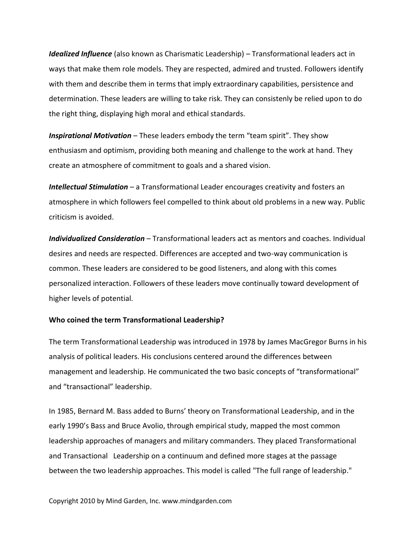*Idealized Influence* (also known as Charismatic Leadership) – Transformational leaders act in ways that make them role models. They are respected, admired and trusted. Followers identify with them and describe them in terms that imply extraordinary capabilities, persistence and determination. These leaders are willing to take risk. They can consistenly be relied upon to do the right thing, displaying high moral and ethical standards.

*Inspirational Motivation* – These leaders embody the term "team spirit". They show enthusiasm and optimism, providing both meaning and challenge to the work at hand. They create an atmosphere of commitment to goals and a shared vision.

*Intellectual Stimulation* – a Transformational Leader encourages creativity and fosters an atmosphere in which followers feel compelled to think about old problems in a new way. Public criticism is avoided.

*Individualized Consideration* – Transformational leaders act as mentors and coaches. Individual desires and needs are respected. Differences are accepted and two-way communication is common. These leaders are considered to be good listeners, and along with this comes personalized interaction. Followers of these leaders move continually toward development of higher levels of potential.

#### **Who coined the term Transformational Leadership?**

The term Transformational Leadership was introduced in 1978 by James MacGregor Burns in his analysis of political leaders. His conclusions centered around the differences between management and leadership. He communicated the two basic concepts of "transformational" and "transactional" leadership.

In 1985, [Bernard M. Bass](http://en.wikipedia.org/w/index.php?title=Bernard_M._Bass&action=edit&redlink=1) added to Burns' theory on Transformational Leadership, and in the early 1990's Bass and Bruce Avolio, through empirical study, mapped the most common leadership approaches of managers and military commanders. They placed Transformational and Transactional Leadership on a continuum and defined more stages at the passage between the two leadership approaches. This model is called "The full range of leadership."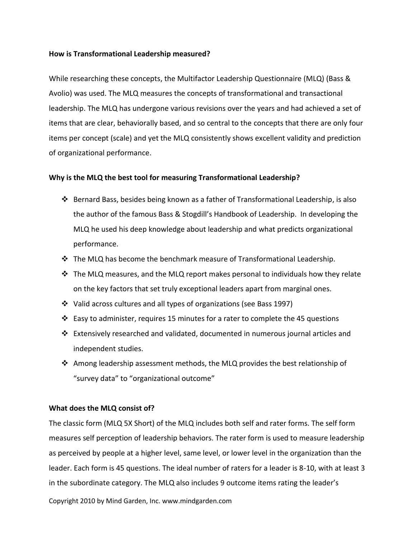#### **How is Transformational Leadership measured?**

While researching these concepts, the Multifactor Leadership Questionnaire (MLQ) (Bass & Avolio) was used. The MLQ measures the concepts of transformational and transactional leadership. The MLQ has undergone various revisions over the years and had achieved a set of items that are clear, behaviorally based, and so central to the concepts that there are only four items per concept (scale) and yet the MLQ consistently shows excellent validity and prediction of organizational performance.

# **Why is the MLQ the best tool for measuring Transformational Leadership?**

- $\triangle$  Bernard Bass, besides being known as a father of Transformational Leadership, is also the author of the famous Bass & Stogdill's Handbook of Leadership. In developing the MLQ he used his deep knowledge about leadership and what predicts organizational performance.
- $\div$  The MLQ has become the benchmark measure of Transformational Leadership.
- $\cdot \cdot$  The MLQ measures, and the MLQ report makes personal to individuals how they relate on the key factors that set truly exceptional leaders apart from marginal ones.
- Valid across cultures and all types of organizations (see Bass 1997)
- $\cdot \cdot$  Easy to administer, requires 15 minutes for a rater to complete the 45 questions
- $\div$  Extensively researched and validated, documented in numerous journal articles and independent studies.
- $\clubsuit$  Among leadership assessment methods, the MLQ provides the best relationship of "survey data" to "organizational outcome"

# **What does the MLQ consist of?**

The classic form (MLQ 5X Short) of the MLQ includes both self and rater forms. The self form measures self perception of leadership behaviors. The rater form is used to measure leadership as perceived by people at a higher level, same level, or lower level in the organization than the leader. Each form is 45 questions. The ideal number of raters for a leader is 8-10, with at least 3 in the subordinate category. The MLQ also includes 9 outcome items rating the leader's